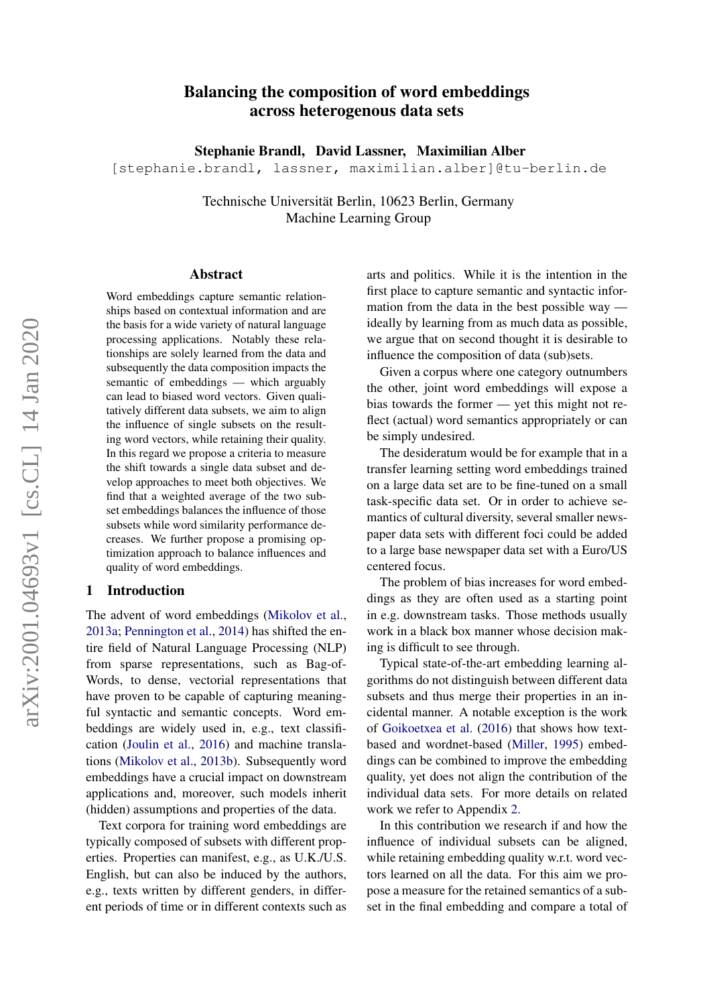# Balancing the composition of word embeddings across heterogenous data sets

Stephanie Brandl, David Lassner, Maximilian Alber

[stephanie.brandl, lassner, maximilian.alber]@tu-berlin.de

Technische Universität Berlin, 10623 Berlin, Germany Machine Learning Group

#### Abstract

Word embeddings capture semantic relationships based on contextual information and are the basis for a wide variety of natural language processing applications. Notably these relationships are solely learned from the data and subsequently the data composition impacts the semantic of embeddings — which arguably can lead to biased word vectors. Given qualitatively different data subsets, we aim to align the influence of single subsets on the resulting word vectors, while retaining their quality. In this regard we propose a criteria to measure the shift towards a single data subset and develop approaches to meet both objectives. We find that a weighted average of the two subset embeddings balances the influence of those subsets while word similarity performance decreases. We further propose a promising optimization approach to balance influences and quality of word embeddings.

#### 1 Introduction

The advent of word embeddings [\(Mikolov et al.,](#page-4-0) [2013a;](#page-4-0) [Pennington et al.,](#page-4-1) [2014\)](#page-4-1) has shifted the entire field of Natural Language Processing (NLP) from sparse representations, such as Bag-of-Words, to dense, vectorial representations that have proven to be capable of capturing meaningful syntactic and semantic concepts. Word embeddings are widely used in, e.g., text classification [\(Joulin et al.,](#page-4-2) [2016\)](#page-4-2) and machine translations [\(Mikolov et al.,](#page-4-3) [2013b\)](#page-4-3). Subsequently word embeddings have a crucial impact on downstream applications and, moreover, such models inherit (hidden) assumptions and properties of the data.

Text corpora for training word embeddings are typically composed of subsets with different properties. Properties can manifest, e.g., as U.K./U.S. English, but can also be induced by the authors, e.g., texts written by different genders, in different periods of time or in different contexts such as

arts and politics. While it is the intention in the first place to capture semantic and syntactic information from the data in the best possible way ideally by learning from as much data as possible, we argue that on second thought it is desirable to influence the composition of data (sub)sets.

Given a corpus where one category outnumbers the other, joint word embeddings will expose a bias towards the former — yet this might not reflect (actual) word semantics appropriately or can be simply undesired.

The desideratum would be for example that in a transfer learning setting word embeddings trained on a large data set are to be fine-tuned on a small task-specific data set. Or in order to achieve semantics of cultural diversity, several smaller newspaper data sets with different foci could be added to a large base newspaper data set with a Euro/US centered focus.

The problem of bias increases for word embeddings as they are often used as a starting point in e.g. downstream tasks. Those methods usually work in a black box manner whose decision making is difficult to see through.

Typical state-of-the-art embedding learning algorithms do not distinguish between different data subsets and thus merge their properties in an incidental manner. A notable exception is the work of [Goikoetxea et al.](#page-4-4) [\(2016\)](#page-4-4) that shows how textbased and wordnet-based [\(Miller,](#page-4-5) [1995\)](#page-4-5) embeddings can be combined to improve the embedding quality, yet does not align the contribution of the individual data sets. For more details on related work we refer to Appendix [2.](#page-1-0)

In this contribution we research if and how the influence of individual subsets can be aligned, while retaining embedding quality w.r.t. word vectors learned on all the data. For this aim we propose a measure for the retained semantics of a subset in the final embedding and compare a total of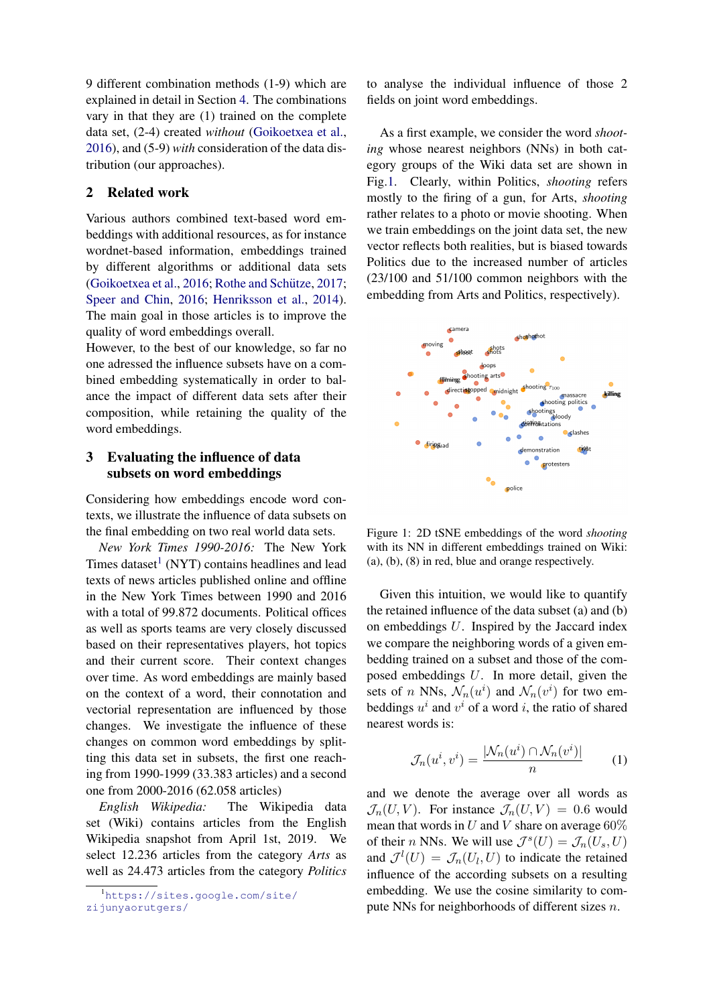9 different combination methods (1-9) which are explained in detail in Section [4.](#page-2-0) The combinations vary in that they are (1) trained on the complete data set, (2-4) created *without* [\(Goikoetxea et al.,](#page-4-4) [2016\)](#page-4-4), and (5-9) *with* consideration of the data distribution (our approaches).

# <span id="page-1-0"></span>2 Related work

Various authors combined text-based word embeddings with additional resources, as for instance wordnet-based information, embeddings trained by different algorithms or additional data sets  $(Goikoet, et al., 2016; Rothe and Schütze, 2017;$  $(Goikoet, et al., 2016; Rothe and Schütze, 2017;$  $(Goikoet, et al., 2016; Rothe and Schütze, 2017;$  $(Goikoet, et al., 2016; Rothe and Schütze, 2017;$ [Speer and Chin,](#page-4-7) [2016;](#page-4-7) [Henriksson et al.,](#page-4-8) [2014\)](#page-4-8). The main goal in those articles is to improve the quality of word embeddings overall.

However, to the best of our knowledge, so far no one adressed the influence subsets have on a combined embedding systematically in order to balance the impact of different data sets after their composition, while retaining the quality of the word embeddings.

# <span id="page-1-3"></span>3 Evaluating the influence of data subsets on word embeddings

Considering how embeddings encode word contexts, we illustrate the influence of data subsets on the final embedding on two real world data sets.

*New York Times 1990-2016:* The New York Times dataset<sup>[1](#page-1-1)</sup> (NYT) contains headlines and lead texts of news articles published online and offline in the New York Times between 1990 and 2016 with a total of 99.872 documents. Political offices as well as sports teams are very closely discussed based on their representatives players, hot topics and their current score. Their context changes over time. As word embeddings are mainly based on the context of a word, their connotation and vectorial representation are influenced by those changes. We investigate the influence of these changes on common word embeddings by splitting this data set in subsets, the first one reaching from 1990-1999 (33.383 articles) and a second one from 2000-2016 (62.058 articles)

*English Wikipedia:* The Wikipedia data set (Wiki) contains articles from the English Wikipedia snapshot from April 1st, 2019. We select 12.236 articles from the category *Arts* as well as 24.473 articles from the category *Politics* to analyse the individual influence of those 2 fields on joint word embeddings.

As a first example, we consider the word *shooting* whose nearest neighbors (NNs) in both category groups of the Wiki data set are shown in Fig[.1.](#page-1-2) Clearly, within Politics, *shooting* refers mostly to the firing of a gun, for Arts, *shooting* rather relates to a photo or movie shooting. When we train embeddings on the joint data set, the new vector reflects both realities, but is biased towards Politics due to the increased number of articles (23/100 and 51/100 common neighbors with the embedding from Arts and Politics, respectively).

<span id="page-1-2"></span>

Figure 1: 2D tSNE embeddings of the word *shooting* with its NN in different embeddings trained on Wiki: (a), (b), (8) in red, blue and orange respectively.

Given this intuition, we would like to quantify the retained influence of the data subset (a) and (b) on embeddings U. Inspired by the Jaccard index we compare the neighboring words of a given embedding trained on a subset and those of the composed embeddings U. In more detail, given the sets of *n* NNs,  $\mathcal{N}_n(u^i)$  and  $\mathcal{N}_n(v^i)$  for two embeddings  $u^i$  and  $v^i$  of a word i, the ratio of shared nearest words is:

$$
\mathcal{J}_n(u^i, v^i) = \frac{|\mathcal{N}_n(u^i) \cap \mathcal{N}_n(v^i)|}{n} \tag{1}
$$

and we denote the average over all words as  $\mathcal{J}_n(U, V)$ . For instance  $\mathcal{J}_n(U, V) = 0.6$  would mean that words in U and V share on average  $60\%$ of their *n* NNs. We will use  $\mathcal{J}^s(U) = \mathcal{J}_n(U_s, U)$ and  $\mathcal{J}^l(U) = \mathcal{J}_n(U_l, U)$  to indicate the retained influence of the according subsets on a resulting embedding. We use the cosine similarity to compute NNs for neighborhoods of different sizes n.

<span id="page-1-1"></span><sup>1</sup>[https://sites.google.com/site/](https://sites.google.com/site/zijunyaorutgers/) [zijunyaorutgers/](https://sites.google.com/site/zijunyaorutgers/)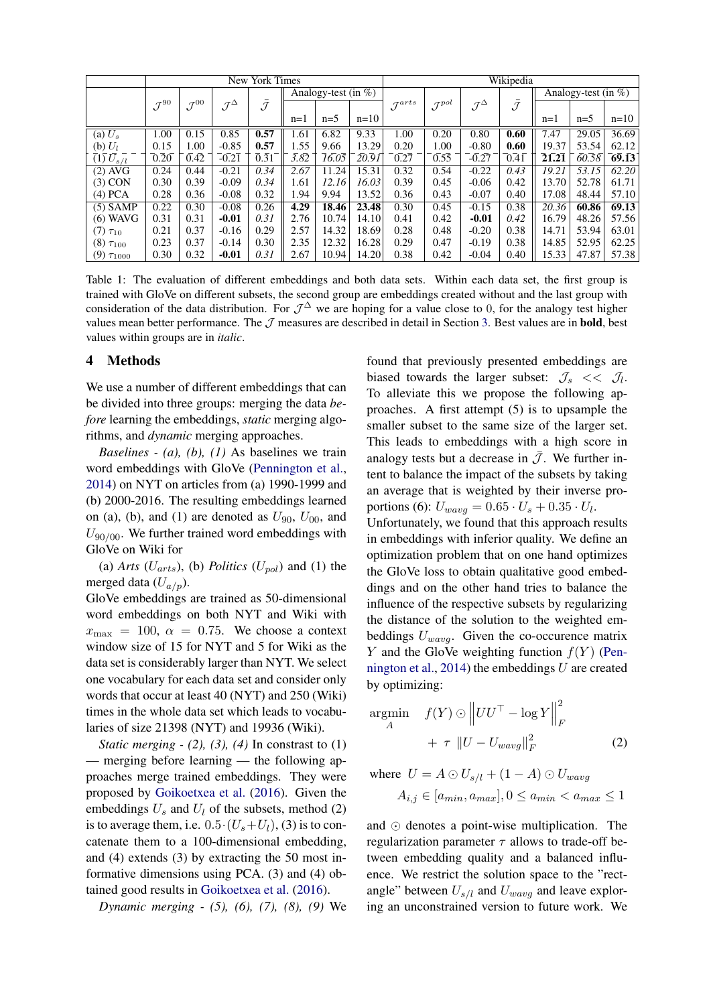<span id="page-2-1"></span>

|                                      | New York Times            |                    |                        |                     |                         |       | Wikipedia |                      |                     |                        |                     |                         |       |        |
|--------------------------------------|---------------------------|--------------------|------------------------|---------------------|-------------------------|-------|-----------|----------------------|---------------------|------------------------|---------------------|-------------------------|-------|--------|
|                                      |                           |                    |                        |                     | Analogy-test (in $\%$ ) |       |           |                      |                     |                        |                     | Analogy-test (in $\%$ ) |       |        |
|                                      | $\mathcal{J}^\mathrm{90}$ | $\mathcal{J}^{00}$ | $\mathcal{J}^{\Delta}$ | $\bar{\mathcal{J}}$ |                         |       |           | $\mathcal{J}^{arts}$ | $\mathcal{J}^{pol}$ | $\mathcal{J}^{\Delta}$ | $\bar{\mathcal{J}}$ |                         |       |        |
|                                      |                           |                    |                        |                     | $n=1$                   | $n=5$ | $n=10$    |                      |                     |                        |                     | $n=1$                   | $n=5$ | $n=10$ |
| (a) $U_s$                            | 1.00                      | 0.15               | 0.85                   | 0.57                | 1.61                    | 6.82  | 9.33      | 1.00                 | 0.20                | 0.80                   | 0.60                | 7.47                    | 29.05 | 36.69  |
| (b) $U_l$                            | 0.15                      | 1.00               | $-0.85$                | 0.57                | 1.55                    | 9.66  | 13.29     | 0.20                 | 1.00                | $-0.80$                | 0.60                | 19.37                   | 53.54 | 62.12  |
| $\overline{(1)}\,\overline{U_{s/l}}$ | 0.20                      | 0.42               | $-0.21$                | 0.31                | 3.82                    | 16.05 | 20.91     | 0.27                 | 0.55                | $-0.27$                | 0.41                | 21.21                   | 60.58 | 69.13  |
| $(2)$ AVG                            | 0.24                      | 0.44               | $-0.21$                | 0.34                | 2.67                    | 11.24 | 15.31     | 0.32                 | 0.54                | $-0.22$                | 0.43                | 19.21                   | 53.15 | 62.20  |
| $(3)$ CON                            | 0.30                      | 0.39               | $-0.09$                | 0.34                | 1.61                    | 12.16 | 16.03     | 0.39                 | 0.45                | $-0.06$                | 0.42                | 13.70                   | 52.78 | 61.71  |
| $(4)$ PCA                            | 0.28                      | 0.36               | $-0.08$                | 0.32                | 1.94                    | 9.94  | 13.52     | 0.36                 | 0.43                | $-0.07$                | 0.40                | 17.08                   | 48.44 | 57.10  |
| $(5)$ SAMP                           | 0.22                      | 0.30               | $-0.08$                | 0.26                | 4.29                    | 18.46 | 23.48     | 0.30                 | 0.45                | $-0.15$                | 0.38                | 20.36                   | 60.86 | 69.13  |
| $(6)$ WAVG                           | 0.31                      | 0.31               | $-0.01$                | 0.31                | 2.76                    | 10.74 | 14.10     | 0.41                 | 0.42                | $-0.01$                | 0.42                | 16.79                   | 48.26 | 57.56  |
| $(7) \tau_{10}$                      | 0.21                      | 0.37               | $-0.16$                | 0.29                | 2.57                    | 14.32 | 18.69     | 0.28                 | 0.48                | $-0.20$                | 0.38                | 14.71                   | 53.94 | 63.01  |
| $(8) \tau_{100}$                     | 0.23                      | 0.37               | $-0.14$                | 0.30                | 2.35                    | 12.32 | 16.28     | 0.29                 | 0.47                | $-0.19$                | 0.38                | 14.85                   | 52.95 | 62.25  |
| $(9) \tau_{1000}$                    | 0.30                      | 0.32               | $-0.01$                | 0.31                | 2.67                    | 10.94 | 14.20     | 0.38                 | 0.42                | $-0.04$                | 0.40                | 15.33                   | 47.87 | 57.38  |

Table 1: The evaluation of different embeddings and both data sets. Within each data set, the first group is trained with GloVe on different subsets, the second group are embeddings created without and the last group with consideration of the data distribution. For  $\mathcal{J}^{\Delta}$  we are hoping for a value close to 0, for the analogy test higher values mean better performance. The  $J$  measures are described in detail in Section [3.](#page-1-3) Best values are in **bold**, best values within groups are in *italic*.

#### <span id="page-2-0"></span>4 Methods

We use a number of different embeddings that can be divided into three groups: merging the data *before* learning the embeddings, *static* merging algorithms, and *dynamic* merging approaches.

*Baselines - (a), (b), (1)* As baselines we train word embeddings with GloVe [\(Pennington et al.,](#page-4-1) [2014\)](#page-4-1) on NYT on articles from (a) 1990-1999 and (b) 2000-2016. The resulting embeddings learned on (a), (b), and (1) are denoted as  $U_{90}$ ,  $U_{00}$ , and  $U_{90/00}$ . We further trained word embeddings with GloVe on Wiki for

(a) *Arts* ( $U_{arts}$ ), (b) *Politics* ( $U_{pol}$ ) and (1) the merged data  $(U_{a/p})$ .

GloVe embeddings are trained as 50-dimensional word embeddings on both NYT and Wiki with  $x_{\text{max}} = 100$ ,  $\alpha = 0.75$ . We choose a context window size of 15 for NYT and 5 for Wiki as the data set is considerably larger than NYT. We select one vocabulary for each data set and consider only words that occur at least 40 (NYT) and 250 (Wiki) times in the whole data set which leads to vocabularies of size 21398 (NYT) and 19936 (Wiki).

*Static merging - (2), (3), (4)* In constrast to (1) — merging before learning — the following approaches merge trained embeddings. They were proposed by [Goikoetxea et al.](#page-4-4) [\(2016\)](#page-4-4). Given the embeddings  $U_s$  and  $U_l$  of the subsets, method (2) is to average them, i.e.  $0.5 \cdot (U_s + U_l)$ , (3) is to concatenate them to a 100-dimensional embedding, and (4) extends (3) by extracting the 50 most informative dimensions using PCA. (3) and (4) obtained good results in [Goikoetxea et al.](#page-4-4) [\(2016\)](#page-4-4).

*Dynamic merging - (5), (6), (7), (8), (9)* We

found that previously presented embeddings are biased towards the larger subset:  $\mathcal{J}_s \ll \mathcal{J}_l$ . To alleviate this we propose the following approaches. A first attempt (5) is to upsample the smaller subset to the same size of the larger set. This leads to embeddings with a high score in analogy tests but a decrease in  $\overline{J}$ . We further intent to balance the impact of the subsets by taking an average that is weighted by their inverse proportions (6):  $U_{way} = 0.65 \cdot U_s + 0.35 \cdot U_l$ .

Unfortunately, we found that this approach results in embeddings with inferior quality. We define an optimization problem that on one hand optimizes the GloVe loss to obtain qualitative good embeddings and on the other hand tries to balance the influence of the respective subsets by regularizing the distance of the solution to the weighted embeddings  $U_{wavg}$ . Given the co-occurence matrix Y and the GloVe weighting function  $f(Y)$  [\(Pen](#page-4-1)[nington et al.,](#page-4-1) [2014\)](#page-4-1) the embeddings  $U$  are created by optimizing:

$$
\underset{A}{\operatorname{argmin}} \quad f(Y) \odot \left\| UU^{\top} - \log Y \right\|_{F}^{2} + \tau \left\| U - U_{wavg} \right\|_{F}^{2} \tag{2}
$$

where 
$$
U = A \odot U_{s/l} + (1 - A) \odot U_{wavg}
$$
  
\n $A_{i,j} \in [a_{min}, a_{max}], 0 \le a_{min} < a_{max} \le 1$ 

and  $\odot$  denotes a point-wise multiplication. The regularization parameter  $\tau$  allows to trade-off between embedding quality and a balanced influence. We restrict the solution space to the "rectangle" between  $U_{s/l}$  and  $U_{wavg}$  and leave exploring an unconstrained version to future work. We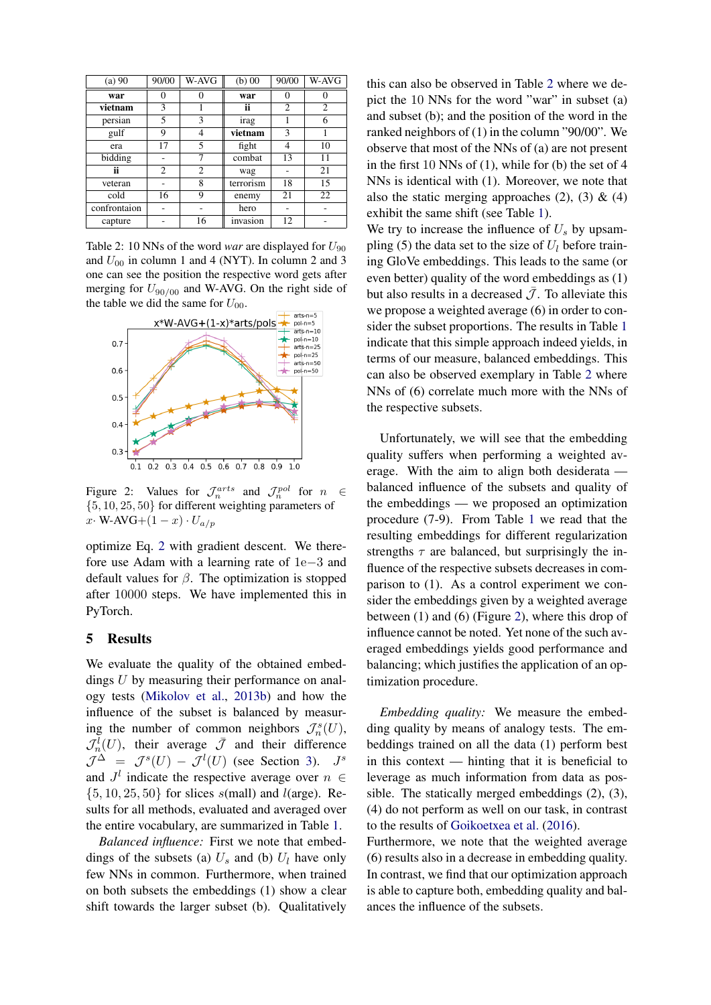<span id="page-3-0"></span>

| $(a)$ 90     | 90/00 | W-AVG          | $(b)$ 00  | 90/00 | W-AVG          |
|--------------|-------|----------------|-----------|-------|----------------|
| war          | 0     |                | war       | 0     |                |
| vietnam      | 3     |                | ii        | 2     | $\overline{c}$ |
| persian      | 5     | 3              | irag      |       | 6              |
| gulf         | 9     | 4              | vietnam   | 3     |                |
| era          | 17    | 5              | fight     | 4     | 10             |
| bidding      |       | 7              | combat    | 13    | 11             |
| ii           | 2     | $\overline{2}$ | wag       |       | 21             |
| veteran      |       | 8              | terrorism | 18    | 15             |
| cold         | 16    | 9              | enemy     | 21    | 22             |
| confrontaion |       |                | hero      |       |                |
| capture      |       | 16             | invasion  | 12    |                |

Table 2: 10 NNs of the word *war* are displayed for  $U_{90}$ and  $U_{00}$  in column 1 and 4 (NYT). In column 2 and 3 one can see the position the respective word gets after merging for  $U_{90/00}$  and W-AVG. On the right side of the table we did the same for  $U_{00}$ .

<span id="page-3-1"></span>

Figure 2: Values for  $\mathcal{J}_n^{arts}$  and  $\mathcal{J}_n^{pol}$  for  $n \in$ {5, 10, 25, 50} for different weighting parameters of x· W-AVG+ $(1-x) \cdot U_{a/p}$ 

optimize Eq. [2](#page-2-0) with gradient descent. We therefore use Adam with a learning rate of 1e−3 and default values for  $\beta$ . The optimization is stopped after 10000 steps. We have implemented this in PyTorch.

# 5 Results

We evaluate the quality of the obtained embeddings U by measuring their performance on analogy tests [\(Mikolov et al.,](#page-4-3) [2013b\)](#page-4-3) and how the influence of the subset is balanced by measuring the number of common neighbors  $\mathcal{J}_n^s(U)$ ,  $\mathcal{J}_n^{\overline{l}}(U)$ , their average  $\overline{\mathcal{J}}$  and their difference  $\mathcal{J}^{\Delta} = \mathcal{J}^{s}(U) - \mathcal{J}^{l}(U)$  (see Section [3\)](#page-1-3).  $J^{s}$ and  $J^l$  indicate the respective average over  $n \in$  $\{5, 10, 25, 50\}$  for slices s(mall) and *l*(arge). Results for all methods, evaluated and averaged over the entire vocabulary, are summarized in Table [1.](#page-2-1)

*Balanced influence:* First we note that embeddings of the subsets (a)  $U_s$  and (b)  $U_l$  have only few NNs in common. Furthermore, when trained on both subsets the embeddings (1) show a clear shift towards the larger subset (b). Qualitatively

this can also be observed in Table [2](#page-3-0) where we depict the 10 NNs for the word "war" in subset (a) and subset (b); and the position of the word in the ranked neighbors of (1) in the column "90/00". We observe that most of the NNs of (a) are not present in the first 10 NNs of (1), while for (b) the set of 4 NNs is identical with (1). Moreover, we note that also the static merging approaches  $(2)$ ,  $(3)$  &  $(4)$ exhibit the same shift (see Table [1\)](#page-2-1).

We try to increase the influence of  $U_s$  by upsampling (5) the data set to the size of  $U_l$  before training GloVe embeddings. This leads to the same (or even better) quality of the word embeddings as (1) but also results in a decreased  $\bar{\mathcal{J}}$ . To alleviate this we propose a weighted average (6) in order to consider the subset proportions. The results in Table [1](#page-2-1) indicate that this simple approach indeed yields, in terms of our measure, balanced embeddings. This can also be observed exemplary in Table [2](#page-3-0) where NNs of (6) correlate much more with the NNs of the respective subsets.

Unfortunately, we will see that the embedding quality suffers when performing a weighted average. With the aim to align both desiderata balanced influence of the subsets and quality of the embeddings — we proposed an optimization procedure (7-9). From Table [1](#page-2-1) we read that the resulting embeddings for different regularization strengths  $\tau$  are balanced, but surprisingly the influence of the respective subsets decreases in comparison to (1). As a control experiment we consider the embeddings given by a weighted average between (1) and (6) (Figure [2\)](#page-3-1), where this drop of influence cannot be noted. Yet none of the such averaged embeddings yields good performance and balancing; which justifies the application of an optimization procedure.

*Embedding quality:* We measure the embedding quality by means of analogy tests. The embeddings trained on all the data (1) perform best in this context — hinting that it is beneficial to leverage as much information from data as possible. The statically merged embeddings (2), (3), (4) do not perform as well on our task, in contrast to the results of [Goikoetxea et al.](#page-4-4) [\(2016\)](#page-4-4). Furthermore, we note that the weighted average

(6) results also in a decrease in embedding quality. In contrast, we find that our optimization approach is able to capture both, embedding quality and balances the influence of the subsets.